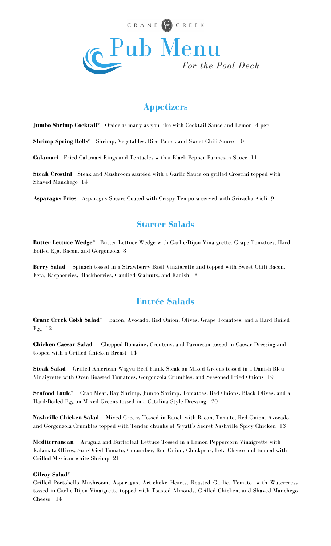

# **Appetizers**

**Jumbo Shrimp Cocktail\*** Order as many as you like with Cocktail Sauce and Lemon 4 per

**Shrimp Spring Rolls\*** Shrimp, Vegetables, Rice Paper, and Sweet Chili Sauce 10

**Calamari** Fried Calamari Rings and Tentacles with a Black Pepper-Parmesan Sauce 11

**Steak Crostini** Steak and Mushroom sautéed with a Garlic Sauce on grilled Crostini topped with Shaved Manchego 14

**Asparagus Fries** Asparagus Spears Coated with Crispy Tempura served with Sriracha Aioli 9

### **Starter Salads**

**Butter Lettuce Wedge\*** Butter Lettuce Wedge with Garlic-Dijon Vinaigrette, Grape Tomatoes, Hard Boiled Egg, Bacon, and Gorgonzola 8

**Berry Salad** Spinach tossed in a Strawberry Basil Vinaigrette and topped with Sweet Chili Bacon, Feta, Raspberries, Blackberries, Candied Walnuts, and Radish 8

## **Entrée Salads**

**Crane Creek Cobb Salad\*** Bacon, Avocado, Red Onion, Olives, Grape Tomatoes, and a Hard-Boiled Egg 12

**Chicken Caesar Salad** Chopped Romaine, Croutons, and Parmesan tossed in Caesar Dressing and topped with a Grilled Chicken Breast 14

**Steak Salad** Grilled American Wagyu Beef Flank Steak on Mixed Greens tossed in a Danish Bleu Vinaigrette with Oven Roasted Tomatoes, Gorgonzola Crumbles, and Seasoned Fried Onions 19

**Seafood Louie\*** Crab Meat, Bay Shrimp, Jumbo Shrimp, Tomatoes, Red Onions, Black Olives, and a Hard-Boiled Egg on Mixed Greens tossed in a Catalina Style Dressing 20

**Nashville Chicken Salad** Mixed Greens Tossed in Ranch with Bacon, Tomato, Red Onion, Avocado, and Gorgonzola Crumbles topped with Tender chunks of Wyatt's Secret Nashville Spicy Chicken 13

**Mediterranean** Arugula and Butterleaf Lettuce Tossed in a Lemon Peppercorn Vinaigrette with Kalamata Olives, Sun-Dried Tomato, Cucumber, Red Onion, Chickpeas, Feta Cheese and topped with Grilled Mexican white Shrimp 21

#### **Gilroy Salad\***

Grilled Portobello Mushroom, Asparagus, Artichoke Hearts, Roasted Garlic, Tomato, with Watercress tossed in Garlic-Dijon Vinaigrette topped with Toasted Almonds, Grilled Chicken, and Shaved Manchego Cheese 14